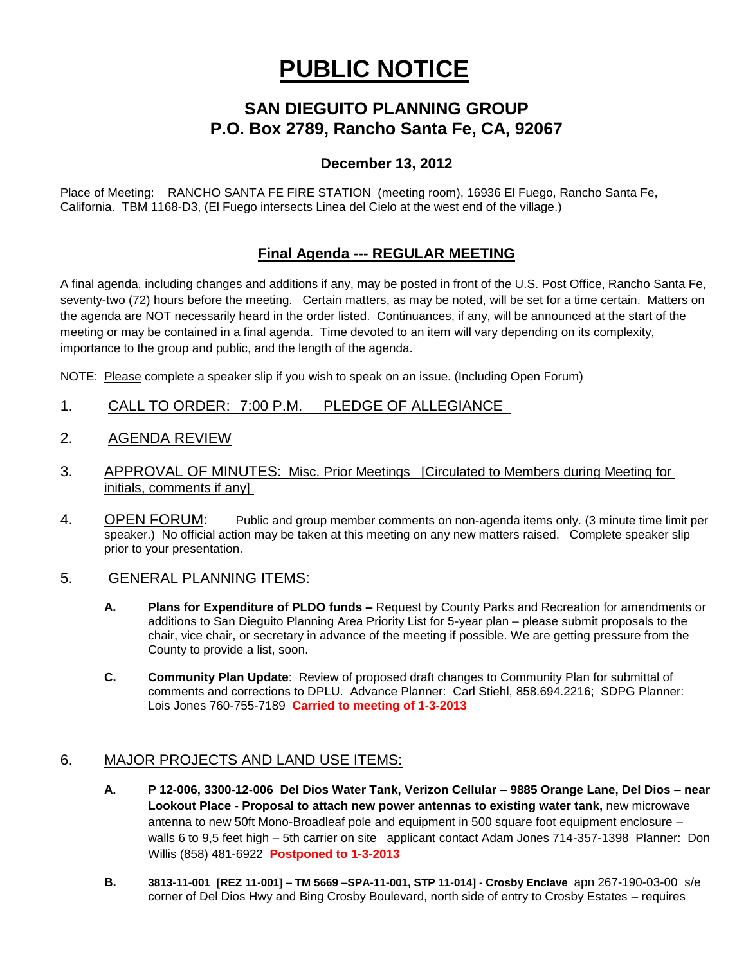# **PUBLIC NOTICE**

## **SAN DIEGUITO PLANNING GROUP P.O. Box 2789, Rancho Santa Fe, CA, 92067**

### **December 13, 2012**

Place of Meeting: RANCHO SANTA FE FIRE STATION (meeting room), 16936 El Fuego, Rancho Santa Fe, California. TBM 1168-D3, (El Fuego intersects Linea del Cielo at the west end of the village.)

## **Final Agenda --- REGULAR MEETING**

A final agenda, including changes and additions if any, may be posted in front of the U.S. Post Office, Rancho Santa Fe, seventy-two (72) hours before the meeting. Certain matters, as may be noted, will be set for a time certain. Matters on the agenda are NOT necessarily heard in the order listed. Continuances, if any, will be announced at the start of the meeting or may be contained in a final agenda. Time devoted to an item will vary depending on its complexity, importance to the group and public, and the length of the agenda.

NOTE: Please complete a speaker slip if you wish to speak on an issue. (Including Open Forum)

- 1. CALL TO ORDER: 7:00 P.M. PLEDGE OF ALLEGIANCE
- 2. AGENDA REVIEW
- 3. APPROVAL OF MINUTES: Misc. Prior Meetings [Circulated to Members during Meeting for initials, comments if any]
- 4. OPEN FORUM: Public and group member comments on non-agenda items only. (3 minute time limit per speaker.) No official action may be taken at this meeting on any new matters raised. Complete speaker slip prior to your presentation.

#### 5. GENERAL PLANNING ITEMS:

- **A. Plans for Expenditure of PLDO funds –** Request by County Parks and Recreation for amendments or additions to San Dieguito Planning Area Priority List for 5-year plan – please submit proposals to the chair, vice chair, or secretary in advance of the meeting if possible. We are getting pressure from the County to provide a list, soon.
- **C. Community Plan Update**: Review of proposed draft changes to Community Plan for submittal of comments and corrections to DPLU. Advance Planner: Carl Stiehl, 858.694.2216; SDPG Planner: Lois Jones 760-755-7189 **Carried to meeting of 1-3-2013**

#### 6. MAJOR PROJECTS AND LAND USE ITEMS:

- **A. P 12-006, 3300-12-006 Del Dios Water Tank, Verizon Cellular – 9885 Orange Lane, Del Dios – near Lookout Place - Proposal to attach new power antennas to existing water tank,** new microwave antenna to new 50ft Mono-Broadleaf pole and equipment in 500 square foot equipment enclosure – walls 6 to 9,5 feet high – 5th carrier on site applicant contact Adam Jones 714-357-1398 Planner: Don Willis (858) 481-6922 **Postponed to 1-3-2013**
- **B. 3813-11-001 [REZ 11-001] – TM 5669 –SPA-11-001, STP 11-014] - Crosby Enclave** apn 267-190-03-00 s/e corner of Del Dios Hwy and Bing Crosby Boulevard, north side of entry to Crosby Estates – requires